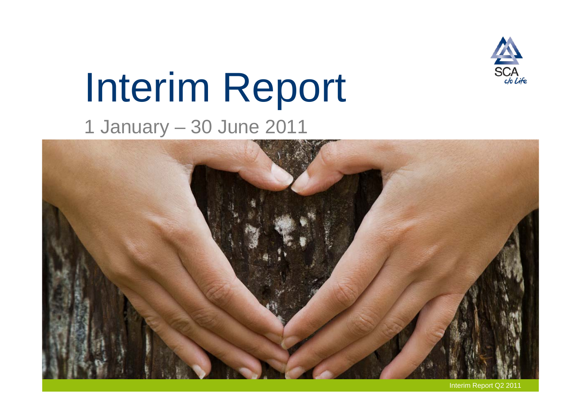

# Interim Report 1 January – 30 June 2011



Interim Report Q2 2011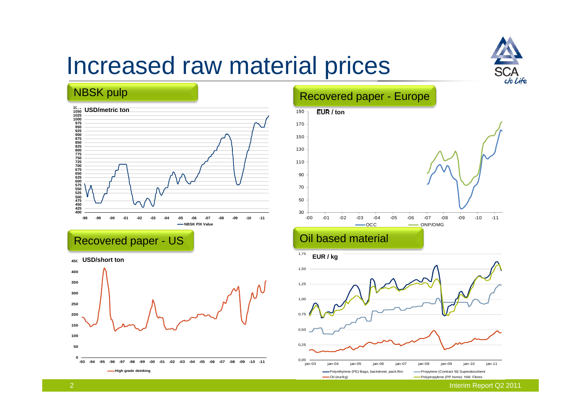

# Increased raw material prices

#### NBSK pulp



Recovered paper - US





#### Recovered paper - Europe



-Oil (eur/kg) **Polypropylene** (PP homo) NW, Fibres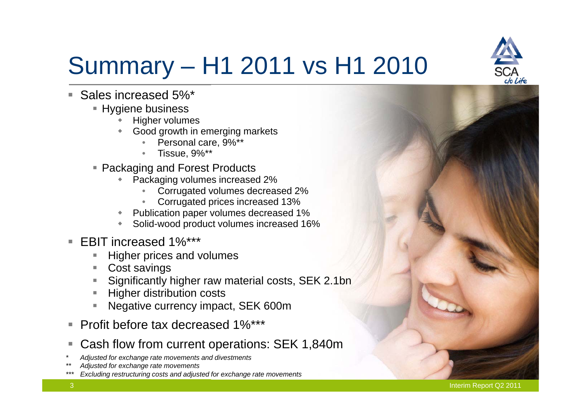

# Summary – H1 2011 vs H1 2010

- П Sales increased 5%\*
	- $\;\blacksquare\;$  Hygiene business
		- ٠ Higher volumes
		- ۰ Good growth in emerging markets
			- •Personal care, 9%\*\*
			- Tissue, 9%\*\*
	- Packaging and Forest Products
		- ٠ Packaging volumes increased 2%
			- •Corrugated volumes decreased 2%
			- •Corrugated prices increased 13%
		- ٠ Publication paper volumes decreased 1%
		- ٠ Solid-wood product volumes increased 16%
- EBIT increased 1%\*\*\*
	- Higher prices and volumes
	- L Cost savings
	- Significantly higher raw material costs, SEK 2.1bn
	- Higher distribution costs
	- L Negative currency impact, SEK 600m
- П Profit before tax decreased 1%\*\*\*
- П Cash flow from current operations: SEK 1,840m
- *\* Adjusted for exchange rate movements and divestments*
- *\*\* Adjusted for exchange rate movements*
- *\*\*\* Excluding restructuring costs and adjusted for exchange rate movements*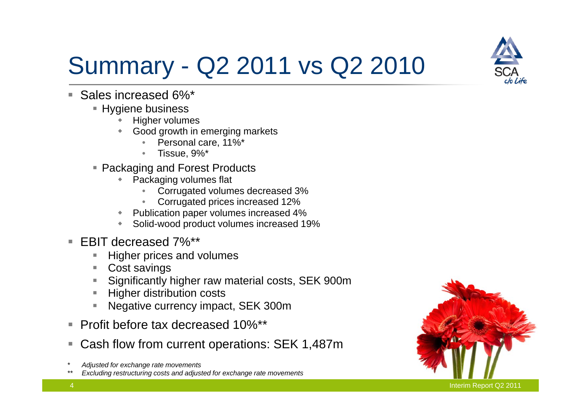

# Summary - Q2 2011 vs Q2 2010

- П Sales increased 6%\*
	- $\;\blacksquare\;$  Hygiene business
		- ٠ Higher volumes
		- ۰ Good growth in emerging markets
			- •Personal care, 11%\*
			- Tissue, 9%\*
	- Packaging and Forest Products
		- ٠ Packaging volumes flat
			- •Corrugated volumes decreased 3%
			- •Corrugated prices increased 12%
		- ٠ Publication paper volumes increased 4%
		- ٠ Solid-wood product volumes increased 19%
- EBIT decreased 7%\*\*
	- Higher prices and volumes
	- L Cost savings
	- Significantly higher raw material costs, SEK 900m
	- Higher distribution costs
	- L Negative currency impact, SEK 300m
- П Profit before tax decreased 10%\*\*
- П Cash flow from current operations: SEK 1,487m
- *\* Adjusted for exchange rate movements*
- *\*\* Excluding restructuring costs and adjusted for exchange rate movements*

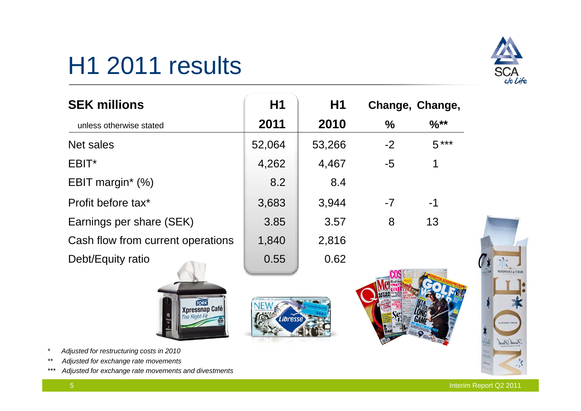# H1 2011 results



| <b>SEK millions</b>               | H1     | H1     |      | Change, Change, |
|-----------------------------------|--------|--------|------|-----------------|
| unless otherwise stated           | 2011   | 2010   | $\%$ | $%$ **          |
| Net sales                         | 52,064 | 53,266 | $-2$ | $5***$          |
| EBIT*                             | 4,262  | 4,467  | $-5$ | $\mathbf 1$     |
| EBIT margin $*(\%)$               | 8.2    | 8.4    |      |                 |
| Profit before tax <sup>*</sup>    | 3,683  | 3,944  | $-7$ | $-1$            |
| Earnings per share (SEK)          | 3.85   | 3.57   | 8    | 13              |
| Cash flow from current operations | 1,840  | 2,816  |      |                 |
| Debt/Equity ratio                 | 0.55   | 0.62   |      |                 |
|                                   |        |        |      |                 |

Libresse



- *\* Adjusted for restructuring costs in 2010*
- *\*\* Adjusted for exchange rate movements*
- *\*\*\* Adjusted for exchange rate movements and divestments*



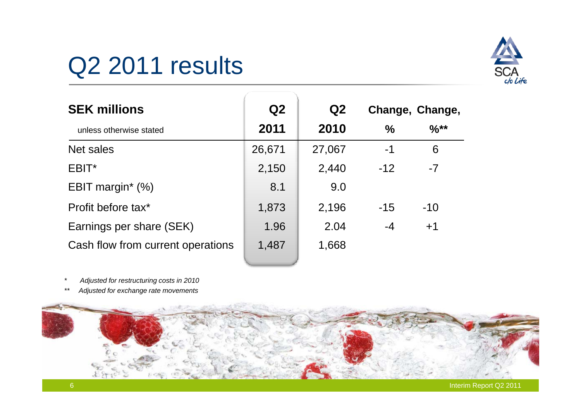# Q<sub>2</sub> 2011 results



| <b>SEK millions</b>               | Q2     | Q <sub>2</sub> |               | Change, Change, |
|-----------------------------------|--------|----------------|---------------|-----------------|
| unless otherwise stated           | 2011   | 2010           | $\frac{0}{0}$ | $%$ **          |
| Net sales                         | 26,671 | 27,067         | $-1$          | 6               |
| EBIT*                             | 2,150  | 2,440          | $-12$         | $-7$            |
| EBIT margin $*$ (%)               | 8.1    | 9.0            |               |                 |
| Profit before tax*                | 1,873  | 2,196          | $-15$         | $-10$           |
| Earnings per share (SEK)          | 1.96   | 2.04           | -4            | $+1$            |
| Cash flow from current operations | 1,487  | 1,668          |               |                 |

- *\* Adjusted for restructuring costs in 2010*
- *\*\* Adjusted for exchange rate movements*

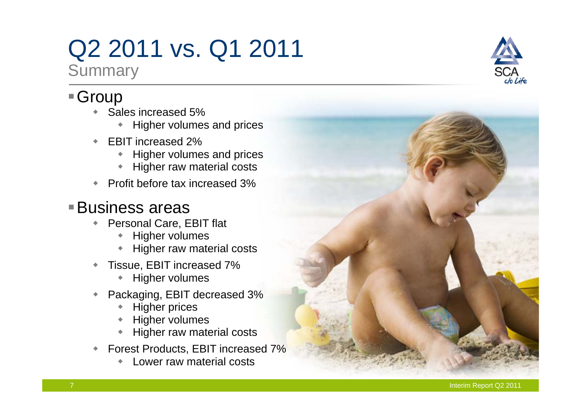## Q2 2011 vs. Q1 2011 **Summary**

### ■ Group

- ٠ Sales increased 5%
	- ٠ Higher volumes and prices
- ٠ EBIT increased 2%
	- ٠ Higher volumes and prices
	- ٠ Higher raw material costs
- ٠ Profit before tax increased 3%

### Business areas

- Personal Care, EBIT flat
	- ٠ Higher volumes
	- ٠ Higher raw material costs
- ٠ Tissue, EBIT increased 7%
	- ٠ Higher volumes
- ٠ Packaging, EBIT decreased 3%
	- ٠ Higher prices
	- ٠ Higher volumes
	- ٠ Higher raw material costs
- ٠ Forest Products, EBIT increased 7%
	- ٠ Lower raw material costs



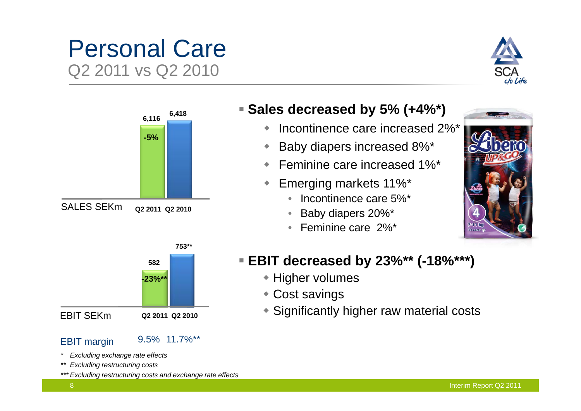### Personal Care Q2 2011 vs Q2 2010





#### EBIT SEKm

EBIT margin 9.5% 11.7%\*\*

**Q2 2011 Q2 2010**

- *\* Excluding exchange rate effects*
- *\*\* Excluding restructuring costs*
- *\*\*\* Excluding restructuring costs and exchange rate effects*

#### **Sales decreased by 5% (+4%\*)**

- ٠ Incontinence care increased 2%\*
- ٠ Baby diapers increased 8%\*
- ٠ Feminine care increased 1%\*
- ٠ Emerging markets 11%\*
	- Incontinence care 5%\*
	- •Baby diapers 20%\*
	- Feminine care 2%\*



#### **EBIT decreased by 23%\*\* (-18%\*\*\*)**

- ◆ Higher volumes
- Cost savings
- Significantly higher raw material costs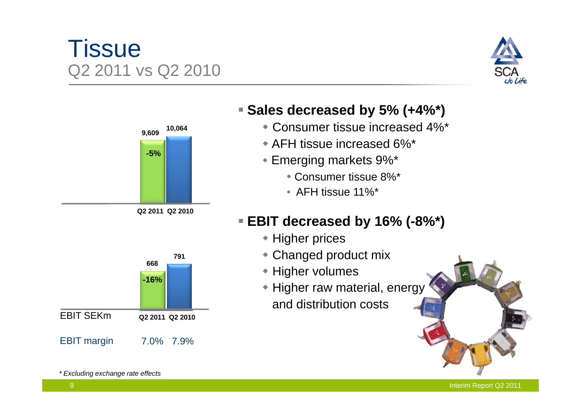### **Tissue** Q2 2011 vs Q2 2010





**Q2 2011 Q2 2010**

#### **Sales decreased by 5% (+4%\*)**

- Consumer tissue increased 4%\*
- AFH tissue increased 6%\*
- Emerging markets 9%\*
	- Consumer tissue 8%\*
	- AFH tissue 11%\*

### **EBIT decreased by 16% (-8%\*)**

- ◆ Higher prices
- Changed product mix
- ◆ Higher volumes
- Higher raw material, energy and distribution costs



Interim Report Q2 2011

*\* Excluding exchange rate effects*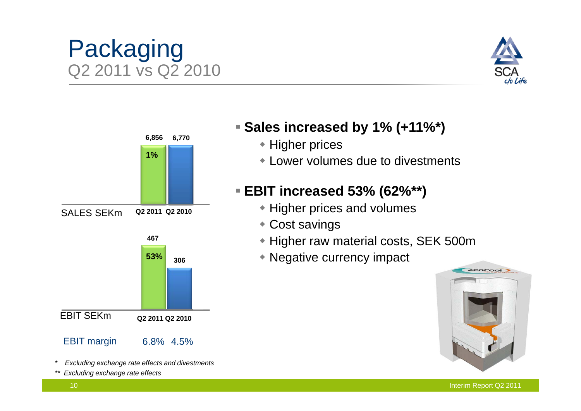#### Interim Report Q2 2011

### Packaging Q2 2011 vs Q2 2010



- *\* Excluding exchange rate effects and divestments*
- *Excluding exchange rate effects*

#### **Sales increased by 1% (+11%\*)**

- ◆ Higher prices
- Lower volumes due to divestments

#### **EBIT increased 53% (62%\*\*)**

- Higher prices and volumes
- Cost savings
- Higher raw material costs, SEK 500m
- Negative currency impact **53%**



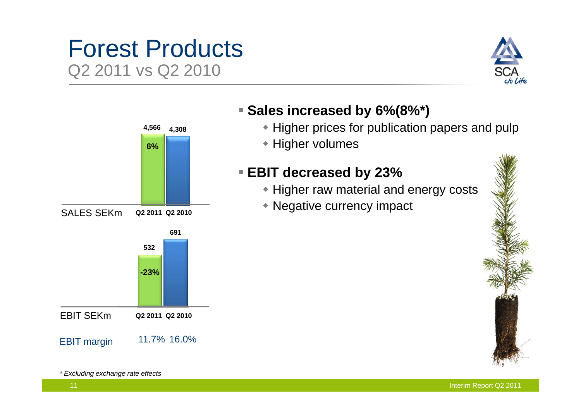### Forest Products Q2 2011 vs Q2 2010





#### **Sales increased by 6%(8%\*)**

- Higher prices for publication papers and pulp
- ◆ Higher volumes

#### **EBIT decreased by 23%**

- Higher raw material and energy costs
- Negative currency impact



*\* Excluding exchange rate effects*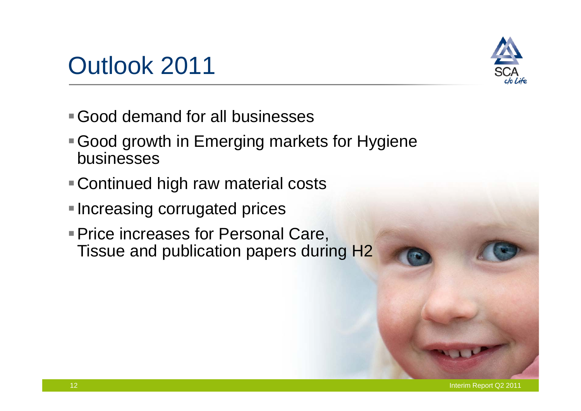# Outlook 2011



- Good demand for all businesses
- Good growth in Emerging markets for Hygiene businesses
- Continued high raw material costs
- ■Increasing corrugated prices
- **Price increases for Personal Care,** Tissue and publication papers during H2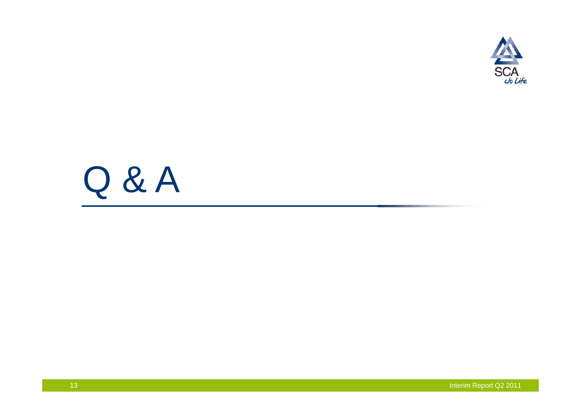

# Q & A